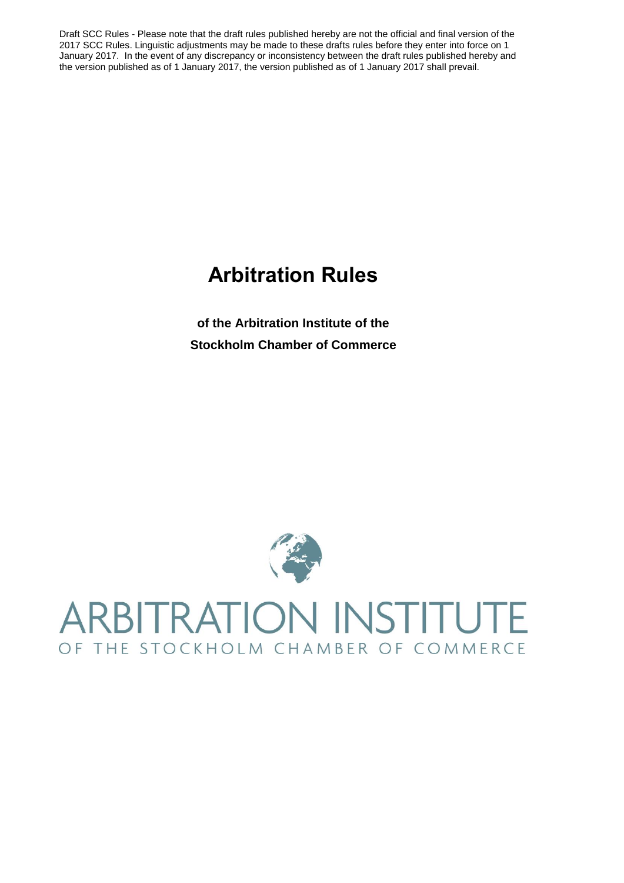# **Arbitration Rules**

**of the Arbitration Institute of the Stockholm Chamber of Commerce**

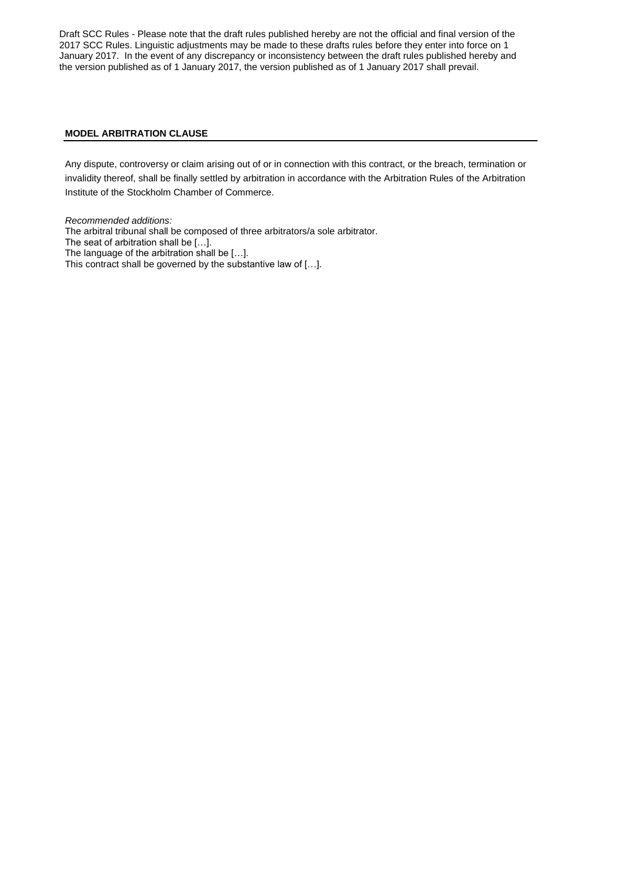# **MODEL ARBITRATION CLAUSE**

Any dispute, controversy or claim arising out of or in connection with this contract, or the breach, termination or invalidity thereof, shall be finally settled by arbitration in accordance with the Arbitration Rules of the Arbitration Institute of the Stockholm Chamber of Commerce.

*Recommended additions:* The arbitral tribunal shall be composed of three arbitrators/a sole arbitrator. The seat of arbitration shall be […]. The language of the arbitration shall be […]. This contract shall be governed by the substantive law of […].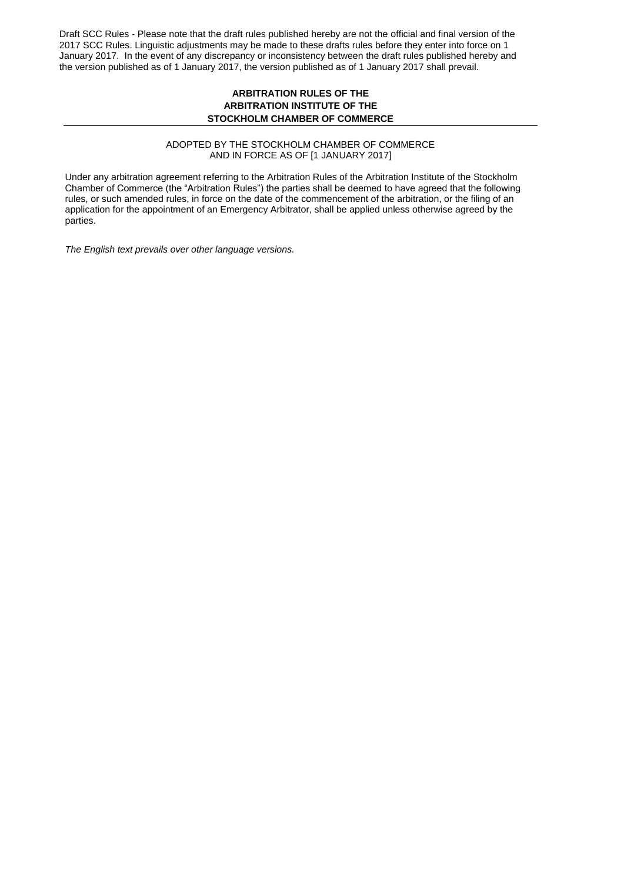# **ARBITRATION RULES OF THE ARBITRATION INSTITUTE OF THE STOCKHOLM CHAMBER OF COMMERCE**

#### ADOPTED BY THE STOCKHOLM CHAMBER OF COMMERCE AND IN FORCE AS OF [1 JANUARY 2017]

Under any arbitration agreement referring to the Arbitration Rules of the Arbitration Institute of the Stockholm Chamber of Commerce (the "Arbitration Rules") the parties shall be deemed to have agreed that the following rules, or such amended rules, in force on the date of the commencement of the arbitration, or the filing of an application for the appointment of an Emergency Arbitrator, shall be applied unless otherwise agreed by the parties.

*The English text prevails over other language versions.*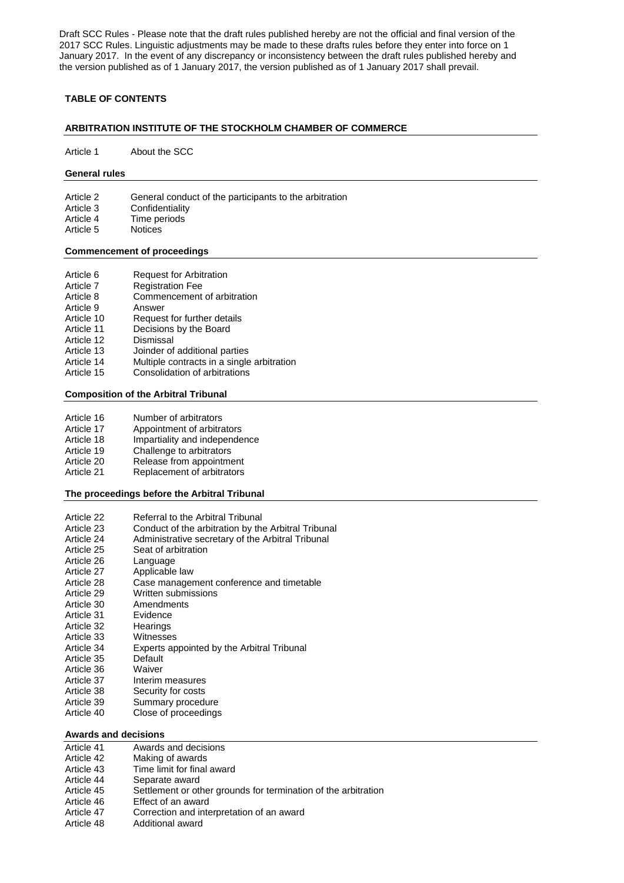# **TABLE OF CONTENTS**

#### **ARBITRATION INSTITUTE OF THE STOCKHOLM CHAMBER OF COMMERCE**

Article 1 About the SCC

#### **General rules**

Article 2 General conduct of the participants to the arbitration Article 3 Confidentiality<br>Article 4 Time periods Time periods

Article 5 Notices

#### **Commencement of proceedings**

| Article 6  | <b>Request for Arbitration</b>             |
|------------|--------------------------------------------|
| Article 7  | <b>Registration Fee</b>                    |
| Article 8  | Commencement of arbitration                |
| Article 9  | Answer                                     |
| Article 10 | Request for further details                |
| Article 11 | Decisions by the Board                     |
| Article 12 | Dismissal                                  |
| Article 13 | Joinder of additional parties              |
| Article 14 | Multiple contracts in a single arbitration |
| Article 15 | Consolidation of arbitrations              |
|            |                                            |

#### **Composition of the Arbitral Tribunal**

| Number of arbitrators<br>Article 16 |  |
|-------------------------------------|--|
|-------------------------------------|--|

- Article 17 Appointment of arbitrators
- Article 18 Impartiality and independence
- Article 19 Challenge to arbitrators
- Article 20 Release from appointment
- Article 21 Replacement of arbitrators

#### **The proceedings before the Arbitral Tribunal**

| Article 22 | Referral to the Arbitral Tribunal                   |
|------------|-----------------------------------------------------|
| Article 23 | Conduct of the arbitration by the Arbitral Tribunal |
| Article 24 | Administrative secretary of the Arbitral Tribunal   |
| Article 25 | Seat of arbitration                                 |
| Article 26 | Language                                            |
| Article 27 | Applicable law                                      |
| Article 28 | Case management conference and timetable            |
| Article 29 | Written submissions                                 |
| Article 30 | Amendments                                          |
| Article 31 | Evidence                                            |
| Article 32 | Hearings                                            |
| Article 33 | Witnesses                                           |
| Article 34 | Experts appointed by the Arbitral Tribunal          |
| Article 35 | Default                                             |
| Article 36 | Waiver                                              |
| Article 37 | Interim measures                                    |
| Article 38 | Security for costs                                  |
| Article 39 | Summary procedure                                   |
| Article 40 | Close of proceedings                                |
|            |                                                     |

#### **Awards and decisions**

| Article 41 | Awards and decisions                                           |
|------------|----------------------------------------------------------------|
| Article 42 | Making of awards                                               |
| Article 43 | Time limit for final award                                     |
| Article 44 | Separate award                                                 |
| Article 45 | Settlement or other grounds for termination of the arbitration |
| Article 46 | Effect of an award                                             |
| Article 47 | Correction and interpretation of an award                      |
| Article 48 | Additional award                                               |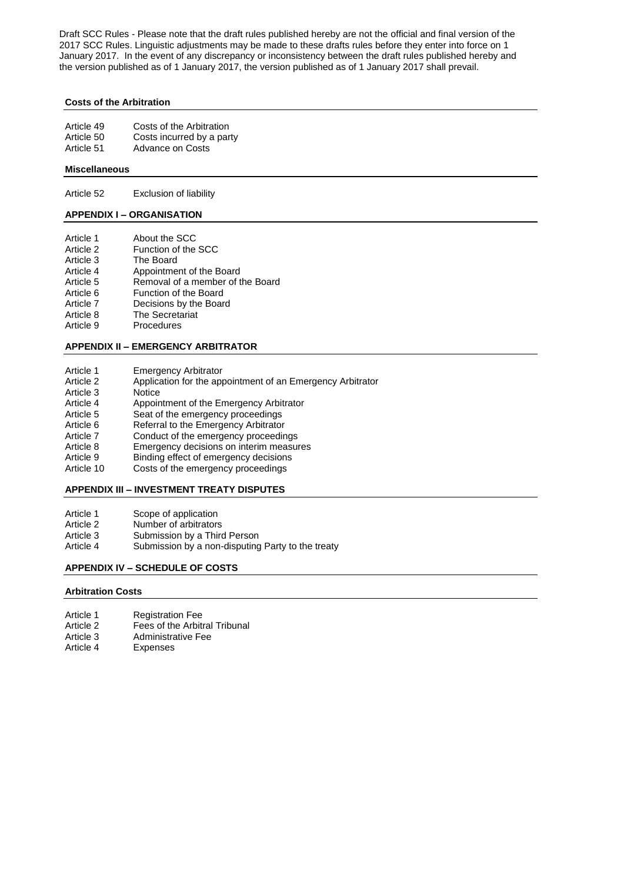#### **Costs of the Arbitration**

| Article 49 | Costs of the Arbitration  |
|------------|---------------------------|
| Article 50 | Costs incurred by a party |
| Article 51 | Advance on Costs          |

### **Miscellaneous**

Article 52 Exclusion of liability

# **APPENDIX I – ORGANISATION**

- Article 1 About the SCC<br>Article 2 Function of the
- Article 2 Function of the SCC<br>Article 3 The Board
- Article 3 The Board<br>Article 4 Appointme
- Appointment of the Board Article 5 Removal of a member of the Board
- 
- Article 6 Function of the Board<br>Article 7 Decisions by the Boar Decisions by the Board
- Article 8 The Secretariat
- Article 9 Procedures

# **APPENDIX II – EMERGENCY ARBITRATOR**

- Article 1 Emergency Arbitrator
- Article 2 Application for the appointment of an Emergency Arbitrator
- Article 3 Notice
- Article 4 Appointment of the Emergency Arbitrator
- Article 5 Seat of the emergency proceedings
- Article 6 Referral to the Emergency Arbitrator
- Article 7 Conduct of the emergency proceedings
- Article 8 Emergency decisions on interim measures
- Article 9 Binding effect of emergency decisions
- Article 10 Costs of the emergency proceedings

# **APPENDIX III – INVESTMENT TREATY DISPUTES**

- Article 1 Scope of application<br>Article 2 Number of arbitrators
- Number of arbitrators
- Article 3 Submission by a Third Person
- Article 4 Submission by a non-disputing Party to the treaty

# **APPENDIX IV – SCHEDULE OF COSTS**

#### **Arbitration Costs**

- Article 1 Registration Fee
- Article 2 Fees of the Arbitral Tribunal<br>Article 3 Administrative Fee
- Article 3 Administrative Fee<br>Article 4 Expenses
- **Expenses**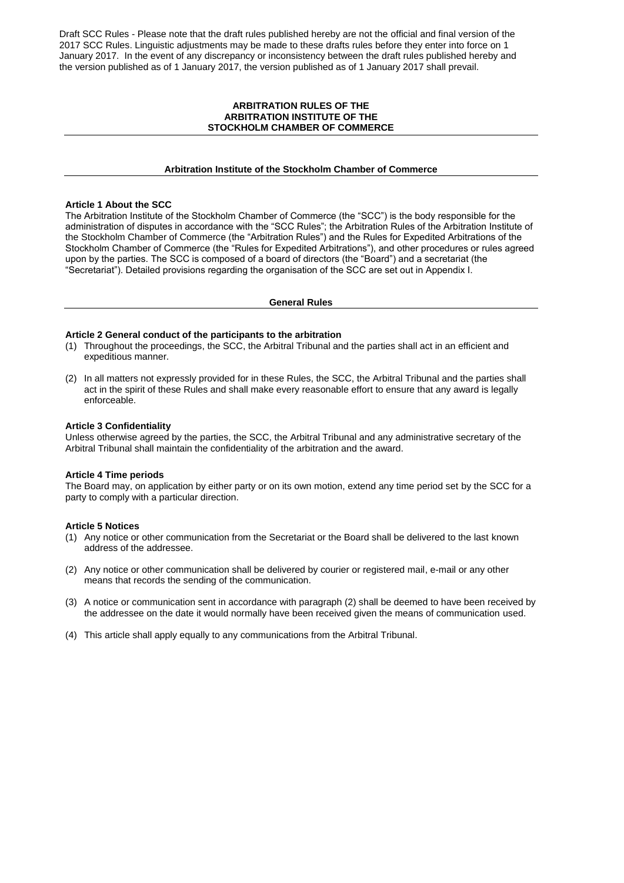#### **ARBITRATION RULES OF THE ARBITRATION INSTITUTE OF THE STOCKHOLM CHAMBER OF COMMERCE**

#### **Arbitration Institute of the Stockholm Chamber of Commerce**

## **Article 1 About the SCC**

The Arbitration Institute of the Stockholm Chamber of Commerce (the "SCC") is the body responsible for the administration of disputes in accordance with the "SCC Rules"; the Arbitration Rules of the Arbitration Institute of the Stockholm Chamber of Commerce (the "Arbitration Rules") and the Rules for Expedited Arbitrations of the Stockholm Chamber of Commerce (the "Rules for Expedited Arbitrations"), and other procedures or rules agreed upon by the parties. The SCC is composed of a board of directors (the "Board") and a secretariat (the "Secretariat"). Detailed provisions regarding the organisation of the SCC are set out in Appendix I.

#### **General Rules**

#### **Article 2 General conduct of the participants to the arbitration**

- (1) Throughout the proceedings, the SCC, the Arbitral Tribunal and the parties shall act in an efficient and expeditious manner.
- (2) In all matters not expressly provided for in these Rules, the SCC, the Arbitral Tribunal and the parties shall act in the spirit of these Rules and shall make every reasonable effort to ensure that any award is legally enforceable.

#### **Article 3 Confidentiality**

Unless otherwise agreed by the parties, the SCC, the Arbitral Tribunal and any administrative secretary of the Arbitral Tribunal shall maintain the confidentiality of the arbitration and the award.

#### **Article 4 Time periods**

The Board may, on application by either party or on its own motion, extend any time period set by the SCC for a party to comply with a particular direction.

#### **Article 5 Notices**

- (1) Any notice or other communication from the Secretariat or the Board shall be delivered to the last known address of the addressee.
- (2) Any notice or other communication shall be delivered by courier or registered mail, e-mail or any other means that records the sending of the communication.
- (3) A notice or communication sent in accordance with paragraph (2) shall be deemed to have been received by the addressee on the date it would normally have been received given the means of communication used.
- (4) This article shall apply equally to any communications from the Arbitral Tribunal.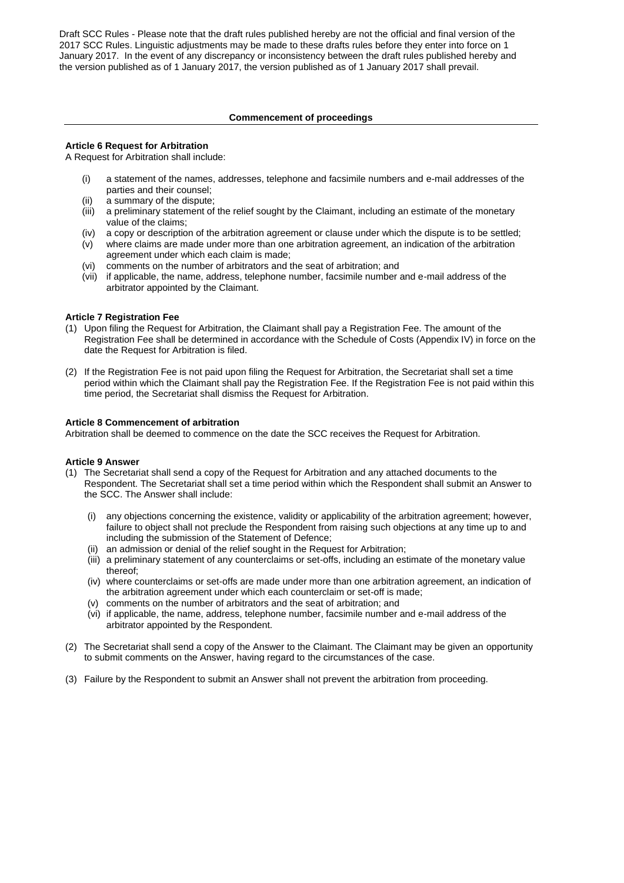#### **Commencement of proceedings**

#### **Article 6 Request for Arbitration**

A Request for Arbitration shall include:

- (i) a statement of the names, addresses, telephone and facsimile numbers and e-mail addresses of the parties and their counsel;
- (ii) a summary of the dispute;
- (iii) a preliminary statement of the relief sought by the Claimant, including an estimate of the monetary value of the claims;
- (iv) a copy or description of the arbitration agreement or clause under which the dispute is to be settled;
- (v) where claims are made under more than one arbitration agreement, an indication of the arbitration agreement under which each claim is made;
- (vi) comments on the number of arbitrators and the seat of arbitration; and
- (vii) if applicable, the name, address, telephone number, facsimile number and e-mail address of the arbitrator appointed by the Claimant.

### **Article 7 Registration Fee**

- (1) Upon filing the Request for Arbitration, the Claimant shall pay a Registration Fee. The amount of the Registration Fee shall be determined in accordance with the Schedule of Costs (Appendix IV) in force on the date the Request for Arbitration is filed.
- (2) If the Registration Fee is not paid upon filing the Request for Arbitration, the Secretariat shall set a time period within which the Claimant shall pay the Registration Fee. If the Registration Fee is not paid within this time period, the Secretariat shall dismiss the Request for Arbitration.

### **Article 8 Commencement of arbitration**

Arbitration shall be deemed to commence on the date the SCC receives the Request for Arbitration.

#### **Article 9 Answer**

- (1) The Secretariat shall send a copy of the Request for Arbitration and any attached documents to the Respondent. The Secretariat shall set a time period within which the Respondent shall submit an Answer to the SCC. The Answer shall include:
	- (i) any objections concerning the existence, validity or applicability of the arbitration agreement; however, failure to object shall not preclude the Respondent from raising such objections at any time up to and including the submission of the Statement of Defence;
	- (ii) an admission or denial of the relief sought in the Request for Arbitration;
	- (iii) a preliminary statement of any counterclaims or set-offs, including an estimate of the monetary value thereof;
	- (iv) where counterclaims or set-offs are made under more than one arbitration agreement, an indication of the arbitration agreement under which each counterclaim or set-off is made;
	- (v) comments on the number of arbitrators and the seat of arbitration; and
	- (vi) if applicable, the name, address, telephone number, facsimile number and e-mail address of the arbitrator appointed by the Respondent.
- (2) The Secretariat shall send a copy of the Answer to the Claimant. The Claimant may be given an opportunity to submit comments on the Answer, having regard to the circumstances of the case.
- (3) Failure by the Respondent to submit an Answer shall not prevent the arbitration from proceeding.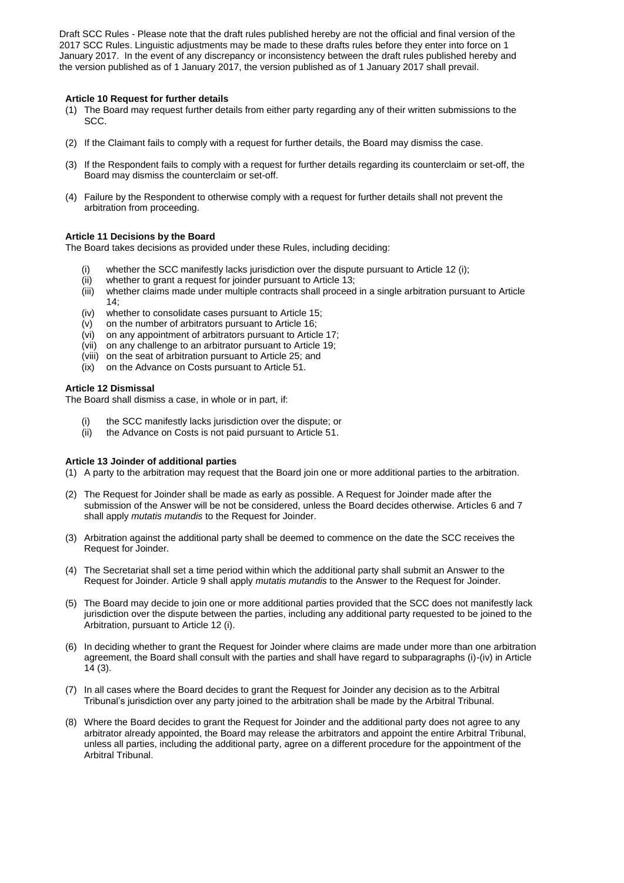#### **Article 10 Request for further details**

- (1) The Board may request further details from either party regarding any of their written submissions to the SCC.
- (2) If the Claimant fails to comply with a request for further details, the Board may dismiss the case.
- (3) If the Respondent fails to comply with a request for further details regarding its counterclaim or set-off, the Board may dismiss the counterclaim or set-off.
- (4) Failure by the Respondent to otherwise comply with a request for further details shall not prevent the arbitration from proceeding.

# **Article 11 Decisions by the Board**

The Board takes decisions as provided under these Rules, including deciding:

- whether the SCC manifestly lacks jurisdiction over the dispute pursuant to Article 12 (i);
- (ii) whether to grant a request for joinder pursuant to Article 13;
- (iii) whether claims made under multiple contracts shall proceed in a single arbitration pursuant to Article 14;
- (iv) whether to consolidate cases pursuant to Article 15;
- (v) on the number of arbitrators pursuant to Article 16;
- (vi) on any appointment of arbitrators pursuant to Article 17;
- (vii) on any challenge to an arbitrator pursuant to Article 19;
- (viii) on the seat of arbitration pursuant to Article 25; and
- (ix) on the Advance on Costs pursuant to Article 51.

### **Article 12 Dismissal**

The Board shall dismiss a case, in whole or in part, if:

- (i) the SCC manifestly lacks jurisdiction over the dispute; or
- (ii) the Advance on Costs is not paid pursuant to Article 51.

#### **Article 13 Joinder of additional parties**

- (1) A party to the arbitration may request that the Board join one or more additional parties to the arbitration.
- (2) The Request for Joinder shall be made as early as possible. A Request for Joinder made after the submission of the Answer will be not be considered, unless the Board decides otherwise. Articles 6 and 7 shall apply *mutatis mutandis* to the Request for Joinder.
- (3) Arbitration against the additional party shall be deemed to commence on the date the SCC receives the Request for Joinder.
- (4) The Secretariat shall set a time period within which the additional party shall submit an Answer to the Request for Joinder. Article 9 shall apply *mutatis mutandis* to the Answer to the Request for Joinder.
- (5) The Board may decide to join one or more additional parties provided that the SCC does not manifestly lack jurisdiction over the dispute between the parties, including any additional party requested to be joined to the Arbitration, pursuant to Article 12 (i).
- (6) In deciding whether to grant the Request for Joinder where claims are made under more than one arbitration agreement, the Board shall consult with the parties and shall have regard to subparagraphs (i)-(iv) in Article 14 (3).
- (7) In all cases where the Board decides to grant the Request for Joinder any decision as to the Arbitral Tribunal's jurisdiction over any party joined to the arbitration shall be made by the Arbitral Tribunal.
- (8) Where the Board decides to grant the Request for Joinder and the additional party does not agree to any arbitrator already appointed, the Board may release the arbitrators and appoint the entire Arbitral Tribunal, unless all parties, including the additional party, agree on a different procedure for the appointment of the Arbitral Tribunal.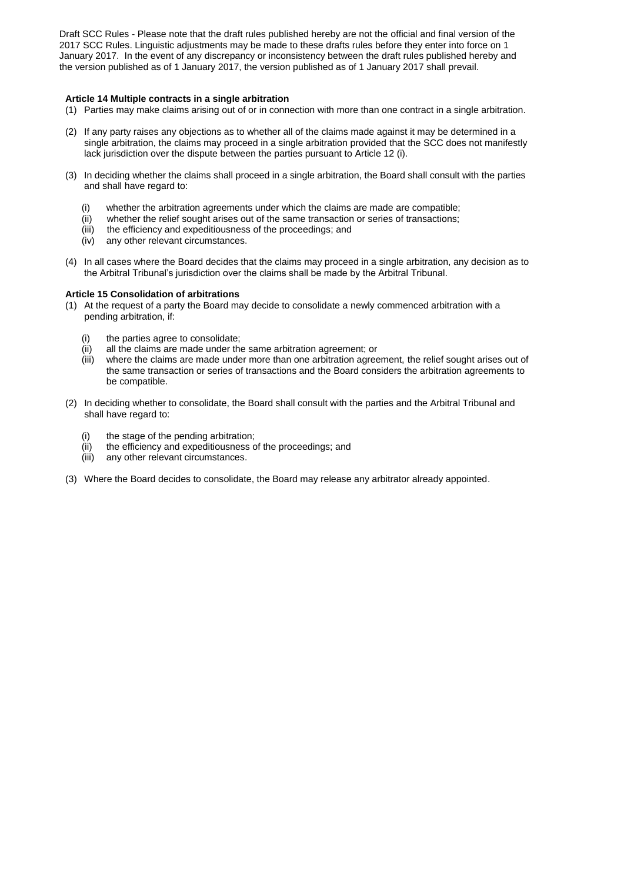# **Article 14 Multiple contracts in a single arbitration**

- (1) Parties may make claims arising out of or in connection with more than one contract in a single arbitration.
- (2) If any party raises any objections as to whether all of the claims made against it may be determined in a single arbitration, the claims may proceed in a single arbitration provided that the SCC does not manifestly lack jurisdiction over the dispute between the parties pursuant to Article 12 (i).
- (3) In deciding whether the claims shall proceed in a single arbitration, the Board shall consult with the parties and shall have regard to:
	- (i) whether the arbitration agreements under which the claims are made are compatible;
	- (ii) whether the relief sought arises out of the same transaction or series of transactions;
	- (iii) the efficiency and expeditiousness of the proceedings; and
	- (iv) any other relevant circumstances.
- (4) In all cases where the Board decides that the claims may proceed in a single arbitration, any decision as to the Arbitral Tribunal's jurisdiction over the claims shall be made by the Arbitral Tribunal.

#### **Article 15 Consolidation of arbitrations**

- (1) At the request of a party the Board may decide to consolidate a newly commenced arbitration with a pending arbitration, if:
	- (i) the parties agree to consolidate;
	- (ii) all the claims are made under the same arbitration agreement; or
	- (iii) where the claims are made under more than one arbitration agreement, the relief sought arises out of the same transaction or series of transactions and the Board considers the arbitration agreements to be compatible.
- (2) In deciding whether to consolidate, the Board shall consult with the parties and the Arbitral Tribunal and shall have regard to:
	- the stage of the pending arbitration;
	- (ii) the efficiency and expeditiousness of the proceedings; and
	- (iii) any other relevant circumstances.
- (3) Where the Board decides to consolidate, the Board may release any arbitrator already appointed.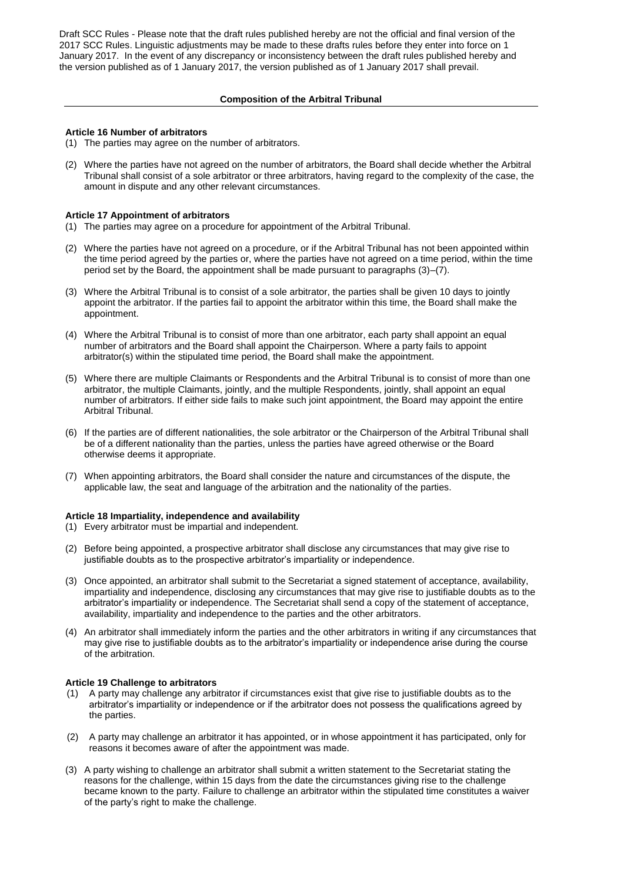# **Composition of the Arbitral Tribunal**

#### **Article 16 Number of arbitrators**

- (1) The parties may agree on the number of arbitrators.
- (2) Where the parties have not agreed on the number of arbitrators, the Board shall decide whether the Arbitral Tribunal shall consist of a sole arbitrator or three arbitrators, having regard to the complexity of the case, the amount in dispute and any other relevant circumstances.

### **Article 17 Appointment of arbitrators**

- (1) The parties may agree on a procedure for appointment of the Arbitral Tribunal.
- (2) Where the parties have not agreed on a procedure, or if the Arbitral Tribunal has not been appointed within the time period agreed by the parties or, where the parties have not agreed on a time period, within the time period set by the Board, the appointment shall be made pursuant to paragraphs (3)–(7).
- (3) Where the Arbitral Tribunal is to consist of a sole arbitrator, the parties shall be given 10 days to jointly appoint the arbitrator. If the parties fail to appoint the arbitrator within this time, the Board shall make the appointment.
- (4) Where the Arbitral Tribunal is to consist of more than one arbitrator, each party shall appoint an equal number of arbitrators and the Board shall appoint the Chairperson. Where a party fails to appoint arbitrator(s) within the stipulated time period, the Board shall make the appointment.
- (5) Where there are multiple Claimants or Respondents and the Arbitral Tribunal is to consist of more than one arbitrator, the multiple Claimants, jointly, and the multiple Respondents, jointly, shall appoint an equal number of arbitrators. If either side fails to make such joint appointment, the Board may appoint the entire Arbitral Tribunal.
- (6) If the parties are of different nationalities, the sole arbitrator or the Chairperson of the Arbitral Tribunal shall be of a different nationality than the parties, unless the parties have agreed otherwise or the Board otherwise deems it appropriate.
- (7) When appointing arbitrators, the Board shall consider the nature and circumstances of the dispute, the applicable law, the seat and language of the arbitration and the nationality of the parties.

#### **Article 18 Impartiality, independence and availability**

- (1) Every arbitrator must be impartial and independent.
- (2) Before being appointed, a prospective arbitrator shall disclose any circumstances that may give rise to justifiable doubts as to the prospective arbitrator's impartiality or independence.
- (3) Once appointed, an arbitrator shall submit to the Secretariat a signed statement of acceptance, availability, impartiality and independence, disclosing any circumstances that may give rise to justifiable doubts as to the arbitrator's impartiality or independence. The Secretariat shall send a copy of the statement of acceptance, availability, impartiality and independence to the parties and the other arbitrators.
- (4) An arbitrator shall immediately inform the parties and the other arbitrators in writing if any circumstances that may give rise to justifiable doubts as to the arbitrator's impartiality or independence arise during the course of the arbitration.

# **Article 19 Challenge to arbitrators**

- (1) A party may challenge any arbitrator if circumstances exist that give rise to justifiable doubts as to the arbitrator's impartiality or independence or if the arbitrator does not possess the qualifications agreed by the parties.
- (2) A party may challenge an arbitrator it has appointed, or in whose appointment it has participated, only for reasons it becomes aware of after the appointment was made.
- (3) A party wishing to challenge an arbitrator shall submit a written statement to the Secretariat stating the reasons for the challenge, within 15 days from the date the circumstances giving rise to the challenge became known to the party. Failure to challenge an arbitrator within the stipulated time constitutes a waiver of the party's right to make the challenge.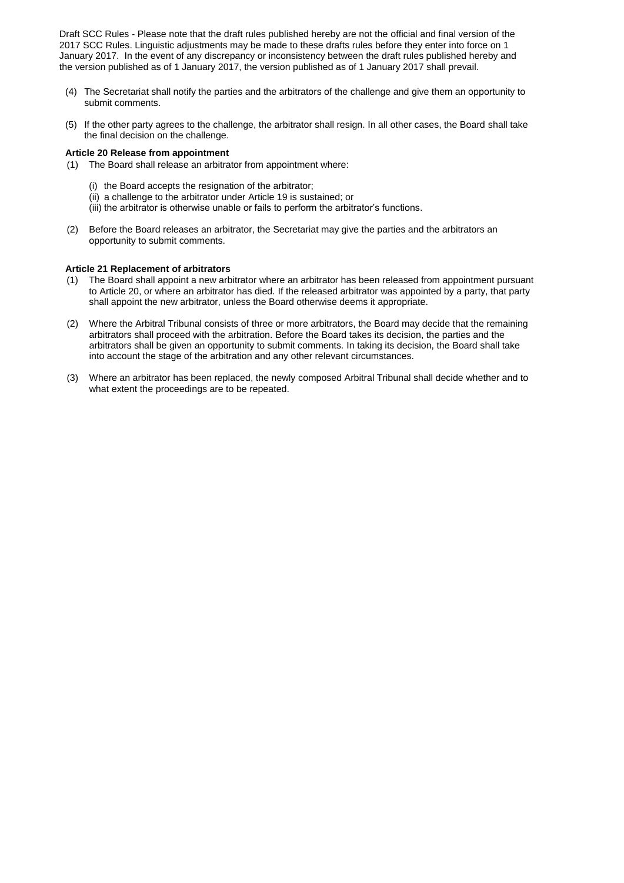- (4) The Secretariat shall notify the parties and the arbitrators of the challenge and give them an opportunity to submit comments.
- (5) If the other party agrees to the challenge, the arbitrator shall resign. In all other cases, the Board shall take the final decision on the challenge.

#### **Article 20 Release from appointment**

- (1) The Board shall release an arbitrator from appointment where:
	- (i) the Board accepts the resignation of the arbitrator;
	- (ii) a challenge to the arbitrator under Article 19 is sustained; or
	- (iii) the arbitrator is otherwise unable or fails to perform the arbitrator's functions.
- (2) Before the Board releases an arbitrator, the Secretariat may give the parties and the arbitrators an opportunity to submit comments.

#### **Article 21 Replacement of arbitrators**

- (1) The Board shall appoint a new arbitrator where an arbitrator has been released from appointment pursuant to Article 20, or where an arbitrator has died. If the released arbitrator was appointed by a party, that party shall appoint the new arbitrator, unless the Board otherwise deems it appropriate.
- (2) Where the Arbitral Tribunal consists of three or more arbitrators, the Board may decide that the remaining arbitrators shall proceed with the arbitration. Before the Board takes its decision, the parties and the arbitrators shall be given an opportunity to submit comments. In taking its decision, the Board shall take into account the stage of the arbitration and any other relevant circumstances.
- (3) Where an arbitrator has been replaced, the newly composed Arbitral Tribunal shall decide whether and to what extent the proceedings are to be repeated.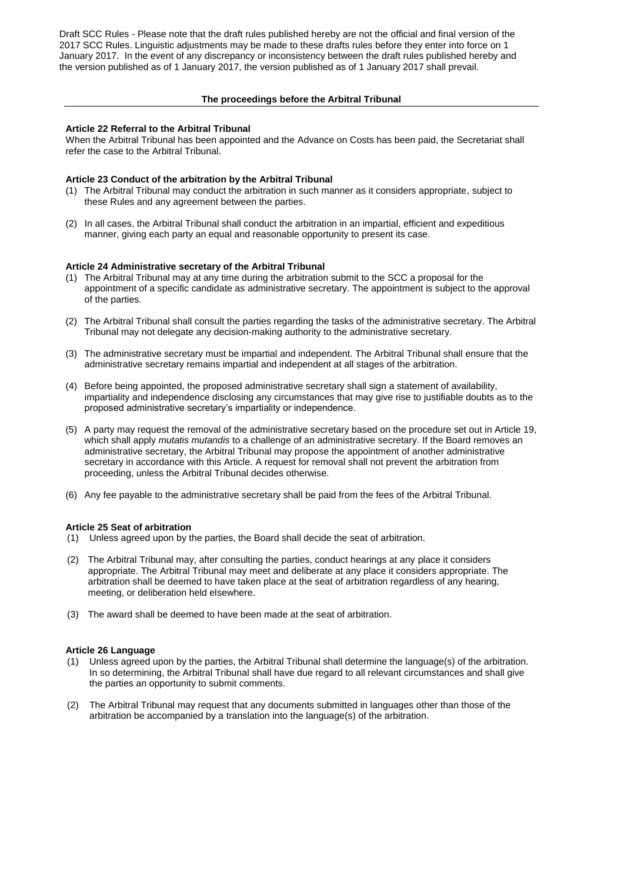#### **The proceedings before the Arbitral Tribunal**

#### **Article 22 Referral to the Arbitral Tribunal**

When the Arbitral Tribunal has been appointed and the Advance on Costs has been paid, the Secretariat shall refer the case to the Arbitral Tribunal.

## **Article 23 Conduct of the arbitration by the Arbitral Tribunal**

- (1) The Arbitral Tribunal may conduct the arbitration in such manner as it considers appropriate, subject to these Rules and any agreement between the parties.
- (2) In all cases, the Arbitral Tribunal shall conduct the arbitration in an impartial, efficient and expeditious manner, giving each party an equal and reasonable opportunity to present its case.

### **Article 24 Administrative secretary of the Arbitral Tribunal**

- (1) The Arbitral Tribunal may at any time during the arbitration submit to the SCC a proposal for the appointment of a specific candidate as administrative secretary. The appointment is subject to the approval of the parties.
- (2) The Arbitral Tribunal shall consult the parties regarding the tasks of the administrative secretary. The Arbitral Tribunal may not delegate any decision-making authority to the administrative secretary.
- (3) The administrative secretary must be impartial and independent. The Arbitral Tribunal shall ensure that the administrative secretary remains impartial and independent at all stages of the arbitration.
- (4) Before being appointed, the proposed administrative secretary shall sign a statement of availability, impartiality and independence disclosing any circumstances that may give rise to justifiable doubts as to the proposed administrative secretary's impartiality or independence.
- (5) A party may request the removal of the administrative secretary based on the procedure set out in Article 19, which shall apply *mutatis mutandis* to a challenge of an administrative secretary. If the Board removes an administrative secretary, the Arbitral Tribunal may propose the appointment of another administrative secretary in accordance with this Article. A request for removal shall not prevent the arbitration from proceeding, unless the Arbitral Tribunal decides otherwise.
- (6) Any fee payable to the administrative secretary shall be paid from the fees of the Arbitral Tribunal.

#### **Article 25 Seat of arbitration**

- (1) Unless agreed upon by the parties, the Board shall decide the seat of arbitration.
- (2) The Arbitral Tribunal may, after consulting the parties, conduct hearings at any place it considers appropriate. The Arbitral Tribunal may meet and deliberate at any place it considers appropriate. The arbitration shall be deemed to have taken place at the seat of arbitration regardless of any hearing, meeting, or deliberation held elsewhere.
- (3) The award shall be deemed to have been made at the seat of arbitration.

#### **Article 26 Language**

- (1) Unless agreed upon by the parties, the Arbitral Tribunal shall determine the language(s) of the arbitration. In so determining, the Arbitral Tribunal shall have due regard to all relevant circumstances and shall give the parties an opportunity to submit comments.
- (2) The Arbitral Tribunal may request that any documents submitted in languages other than those of the arbitration be accompanied by a translation into the language(s) of the arbitration.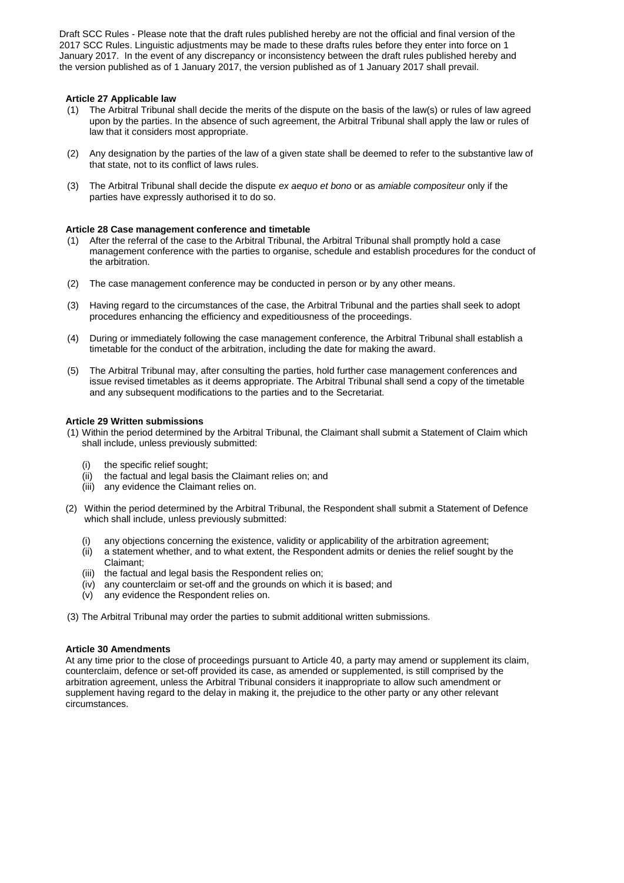### **Article 27 Applicable law**

- (1) The Arbitral Tribunal shall decide the merits of the dispute on the basis of the law(s) or rules of law agreed upon by the parties. In the absence of such agreement, the Arbitral Tribunal shall apply the law or rules of law that it considers most appropriate.
- (2) Any designation by the parties of the law of a given state shall be deemed to refer to the substantive law of that state, not to its conflict of laws rules.
- (3) The Arbitral Tribunal shall decide the dispute *ex aequo et bono* or as *amiable compositeur* only if the parties have expressly authorised it to do so.

#### **Article 28 Case management conference and timetable**

- (1) After the referral of the case to the Arbitral Tribunal, the Arbitral Tribunal shall promptly hold a case management conference with the parties to organise, schedule and establish procedures for the conduct of the arbitration.
- (2) The case management conference may be conducted in person or by any other means.
- (3) Having regard to the circumstances of the case, the Arbitral Tribunal and the parties shall seek to adopt procedures enhancing the efficiency and expeditiousness of the proceedings.
- (4) During or immediately following the case management conference, the Arbitral Tribunal shall establish a timetable for the conduct of the arbitration, including the date for making the award.
- (5) The Arbitral Tribunal may, after consulting the parties, hold further case management conferences and issue revised timetables as it deems appropriate. The Arbitral Tribunal shall send a copy of the timetable and any subsequent modifications to the parties and to the Secretariat.

#### **Article 29 Written submissions**

- (1) Within the period determined by the Arbitral Tribunal, the Claimant shall submit a Statement of Claim which shall include, unless previously submitted:
	- (i) the specific relief sought;
	- (ii) the factual and legal basis the Claimant relies on; and
	- (iii) any evidence the Claimant relies on.
- (2) Within the period determined by the Arbitral Tribunal, the Respondent shall submit a Statement of Defence which shall include, unless previously submitted:
	- any objections concerning the existence, validity or applicability of the arbitration agreement;
	- (ii) a statement whether, and to what extent, the Respondent admits or denies the relief sought by the Claimant;
	- (iii) the factual and legal basis the Respondent relies on;
	- (iv) any counterclaim or set-off and the grounds on which it is based; and
	- (v) any evidence the Respondent relies on.
- (3) The Arbitral Tribunal may order the parties to submit additional written submissions.

#### **Article 30 Amendments**

At any time prior to the close of proceedings pursuant to Article 40, a party may amend or supplement its claim, counterclaim, defence or set-off provided its case, as amended or supplemented, is still comprised by the arbitration agreement, unless the Arbitral Tribunal considers it inappropriate to allow such amendment or supplement having regard to the delay in making it, the prejudice to the other party or any other relevant circumstances.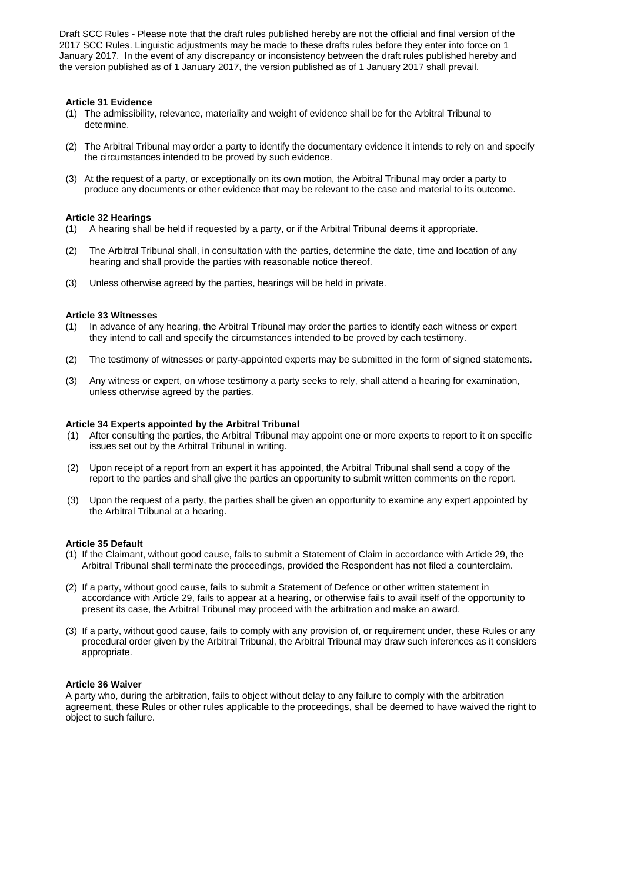#### **Article 31 Evidence**

- (1) The admissibility, relevance, materiality and weight of evidence shall be for the Arbitral Tribunal to determine.
- (2) The Arbitral Tribunal may order a party to identify the documentary evidence it intends to rely on and specify the circumstances intended to be proved by such evidence.
- (3) At the request of a party, or exceptionally on its own motion, the Arbitral Tribunal may order a party to produce any documents or other evidence that may be relevant to the case and material to its outcome.

#### **Article 32 Hearings**

- (1) A hearing shall be held if requested by a party, or if the Arbitral Tribunal deems it appropriate.
- (2) The Arbitral Tribunal shall, in consultation with the parties, determine the date, time and location of any hearing and shall provide the parties with reasonable notice thereof.
- (3) Unless otherwise agreed by the parties, hearings will be held in private.

#### **Article 33 Witnesses**

- (1) In advance of any hearing, the Arbitral Tribunal may order the parties to identify each witness or expert they intend to call and specify the circumstances intended to be proved by each testimony.
- (2) The testimony of witnesses or party-appointed experts may be submitted in the form of signed statements.
- (3) Any witness or expert, on whose testimony a party seeks to rely, shall attend a hearing for examination, unless otherwise agreed by the parties.

#### **Article 34 Experts appointed by the Arbitral Tribunal**

- (1) After consulting the parties, the Arbitral Tribunal may appoint one or more experts to report to it on specific issues set out by the Arbitral Tribunal in writing.
- (2) Upon receipt of a report from an expert it has appointed, the Arbitral Tribunal shall send a copy of the report to the parties and shall give the parties an opportunity to submit written comments on the report.
- (3) Upon the request of a party, the parties shall be given an opportunity to examine any expert appointed by the Arbitral Tribunal at a hearing.

#### **Article 35 Default**

- (1) If the Claimant, without good cause, fails to submit a Statement of Claim in accordance with Article 29, the Arbitral Tribunal shall terminate the proceedings, provided the Respondent has not filed a counterclaim.
- (2) If a party, without good cause, fails to submit a Statement of Defence or other written statement in accordance with Article 29, fails to appear at a hearing, or otherwise fails to avail itself of the opportunity to present its case, the Arbitral Tribunal may proceed with the arbitration and make an award.
- (3) If a party, without good cause, fails to comply with any provision of, or requirement under, these Rules or any procedural order given by the Arbitral Tribunal, the Arbitral Tribunal may draw such inferences as it considers appropriate.

#### **Article 36 Waiver**

A party who, during the arbitration, fails to object without delay to any failure to comply with the arbitration agreement, these Rules or other rules applicable to the proceedings, shall be deemed to have waived the right to object to such failure.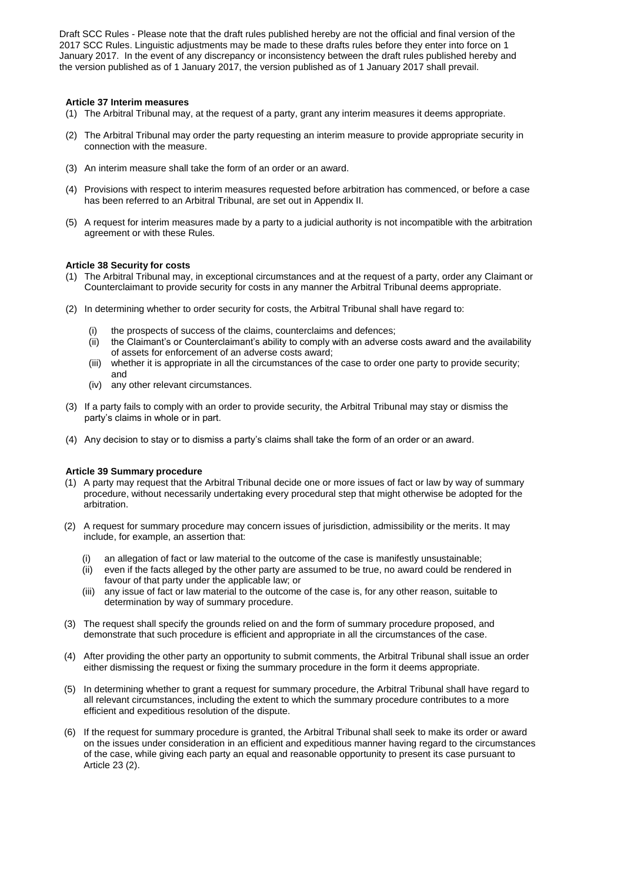#### **Article 37 Interim measures**

- (1) The Arbitral Tribunal may, at the request of a party, grant any interim measures it deems appropriate.
- (2) The Arbitral Tribunal may order the party requesting an interim measure to provide appropriate security in connection with the measure.
- (3) An interim measure shall take the form of an order or an award.
- (4) Provisions with respect to interim measures requested before arbitration has commenced, or before a case has been referred to an Arbitral Tribunal, are set out in Appendix II.
- (5) A request for interim measures made by a party to a judicial authority is not incompatible with the arbitration agreement or with these Rules.

### **Article 38 Security for costs**

- (1) The Arbitral Tribunal may, in exceptional circumstances and at the request of a party, order any Claimant or Counterclaimant to provide security for costs in any manner the Arbitral Tribunal deems appropriate.
- (2) In determining whether to order security for costs, the Arbitral Tribunal shall have regard to:
	- the prospects of success of the claims, counterclaims and defences;
	- (ii) the Claimant's or Counterclaimant's ability to comply with an adverse costs award and the availability of assets for enforcement of an adverse costs award;
	- (iii) whether it is appropriate in all the circumstances of the case to order one party to provide security; and
	- (iv) any other relevant circumstances.
- (3) If a party fails to comply with an order to provide security, the Arbitral Tribunal may stay or dismiss the party's claims in whole or in part.
- (4) Any decision to stay or to dismiss a party's claims shall take the form of an order or an award.

# **Article 39 Summary procedure**

- (1) A party may request that the Arbitral Tribunal decide one or more issues of fact or law by way of summary procedure, without necessarily undertaking every procedural step that might otherwise be adopted for the arbitration.
- (2) A request for summary procedure may concern issues of jurisdiction, admissibility or the merits. It may include, for example, an assertion that:
	- (i) an allegation of fact or law material to the outcome of the case is manifestly unsustainable;
	- (ii) even if the facts alleged by the other party are assumed to be true, no award could be rendered in favour of that party under the applicable law; or
	- (iii) any issue of fact or law material to the outcome of the case is, for any other reason, suitable to determination by way of summary procedure.
- (3) The request shall specify the grounds relied on and the form of summary procedure proposed, and demonstrate that such procedure is efficient and appropriate in all the circumstances of the case.
- (4) After providing the other party an opportunity to submit comments, the Arbitral Tribunal shall issue an order either dismissing the request or fixing the summary procedure in the form it deems appropriate.
- (5) In determining whether to grant a request for summary procedure, the Arbitral Tribunal shall have regard to all relevant circumstances, including the extent to which the summary procedure contributes to a more efficient and expeditious resolution of the dispute.
- (6) If the request for summary procedure is granted, the Arbitral Tribunal shall seek to make its order or award on the issues under consideration in an efficient and expeditious manner having regard to the circumstances of the case, while giving each party an equal and reasonable opportunity to present its case pursuant to Article 23 (2).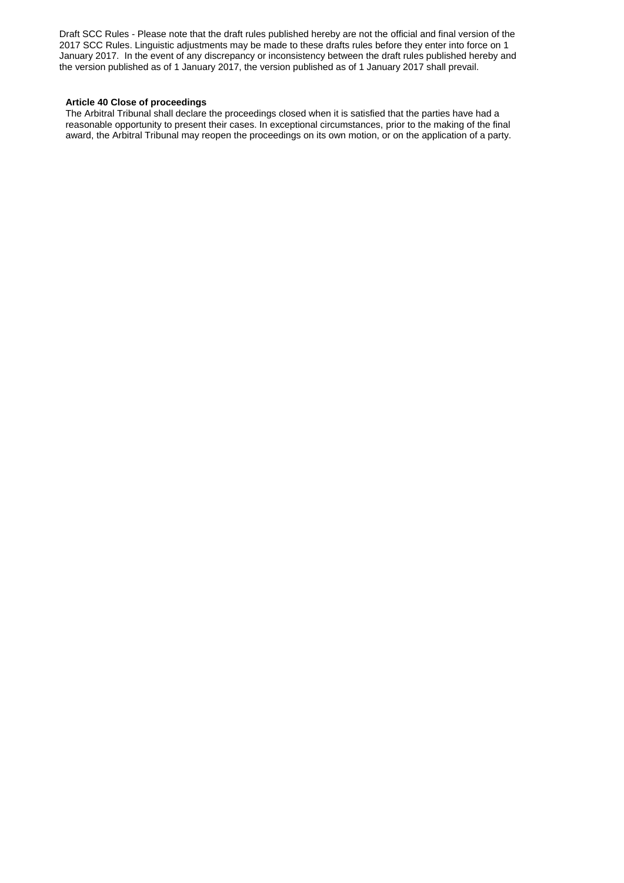#### **Article 40 Close of proceedings**

The Arbitral Tribunal shall declare the proceedings closed when it is satisfied that the parties have had a reasonable opportunity to present their cases. In exceptional circumstances, prior to the making of the final award, the Arbitral Tribunal may reopen the proceedings on its own motion, or on the application of a party.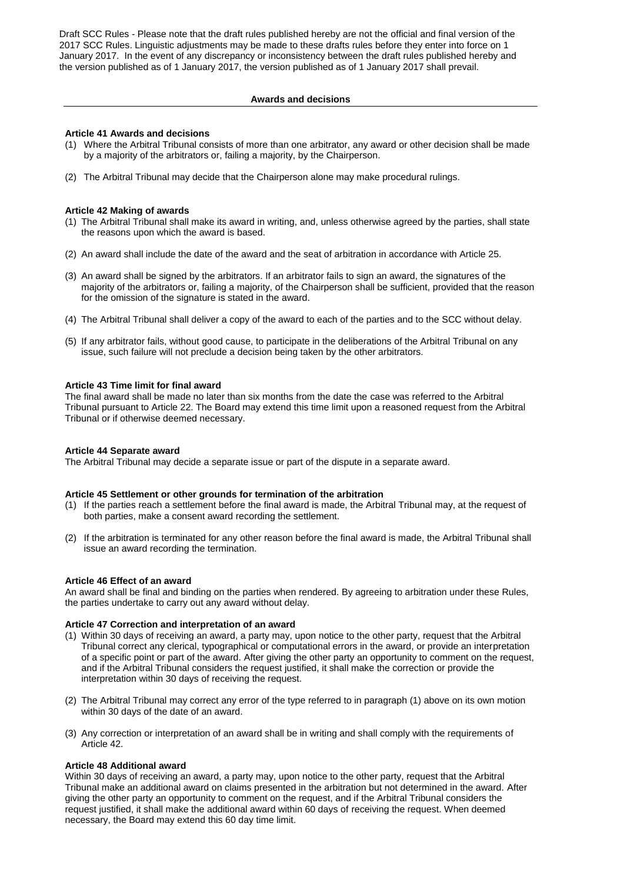#### **Awards and decisions**

#### **Article 41 Awards and decisions**

- (1) Where the Arbitral Tribunal consists of more than one arbitrator, any award or other decision shall be made by a majority of the arbitrators or, failing a majority, by the Chairperson.
- (2) The Arbitral Tribunal may decide that the Chairperson alone may make procedural rulings.

### **Article 42 Making of awards**

- (1) The Arbitral Tribunal shall make its award in writing, and, unless otherwise agreed by the parties, shall state the reasons upon which the award is based.
- (2) An award shall include the date of the award and the seat of arbitration in accordance with Article 25.
- (3) An award shall be signed by the arbitrators. If an arbitrator fails to sign an award, the signatures of the majority of the arbitrators or, failing a majority, of the Chairperson shall be sufficient, provided that the reason for the omission of the signature is stated in the award.
- (4) The Arbitral Tribunal shall deliver a copy of the award to each of the parties and to the SCC without delay.
- (5) If any arbitrator fails, without good cause, to participate in the deliberations of the Arbitral Tribunal on any issue, such failure will not preclude a decision being taken by the other arbitrators.

#### **Article 43 Time limit for final award**

The final award shall be made no later than six months from the date the case was referred to the Arbitral Tribunal pursuant to Article 22. The Board may extend this time limit upon a reasoned request from the Arbitral Tribunal or if otherwise deemed necessary.

# **Article 44 Separate award**

The Arbitral Tribunal may decide a separate issue or part of the dispute in a separate award.

#### **Article 45 Settlement or other grounds for termination of the arbitration**

- (1) If the parties reach a settlement before the final award is made, the Arbitral Tribunal may, at the request of both parties, make a consent award recording the settlement.
- (2) If the arbitration is terminated for any other reason before the final award is made, the Arbitral Tribunal shall issue an award recording the termination.

#### **Article 46 Effect of an award**

An award shall be final and binding on the parties when rendered. By agreeing to arbitration under these Rules, the parties undertake to carry out any award without delay.

#### **Article 47 Correction and interpretation of an award**

- (1) Within 30 days of receiving an award, a party may, upon notice to the other party, request that the Arbitral Tribunal correct any clerical, typographical or computational errors in the award, or provide an interpretation of a specific point or part of the award. After giving the other party an opportunity to comment on the request, and if the Arbitral Tribunal considers the request justified, it shall make the correction or provide the interpretation within 30 days of receiving the request.
- (2) The Arbitral Tribunal may correct any error of the type referred to in paragraph (1) above on its own motion within 30 days of the date of an award.
- (3) Any correction or interpretation of an award shall be in writing and shall comply with the requirements of Article 42.

# **Article 48 Additional award**

Within 30 days of receiving an award, a party may, upon notice to the other party, request that the Arbitral Tribunal make an additional award on claims presented in the arbitration but not determined in the award. After giving the other party an opportunity to comment on the request, and if the Arbitral Tribunal considers the request justified, it shall make the additional award within 60 days of receiving the request. When deemed necessary, the Board may extend this 60 day time limit.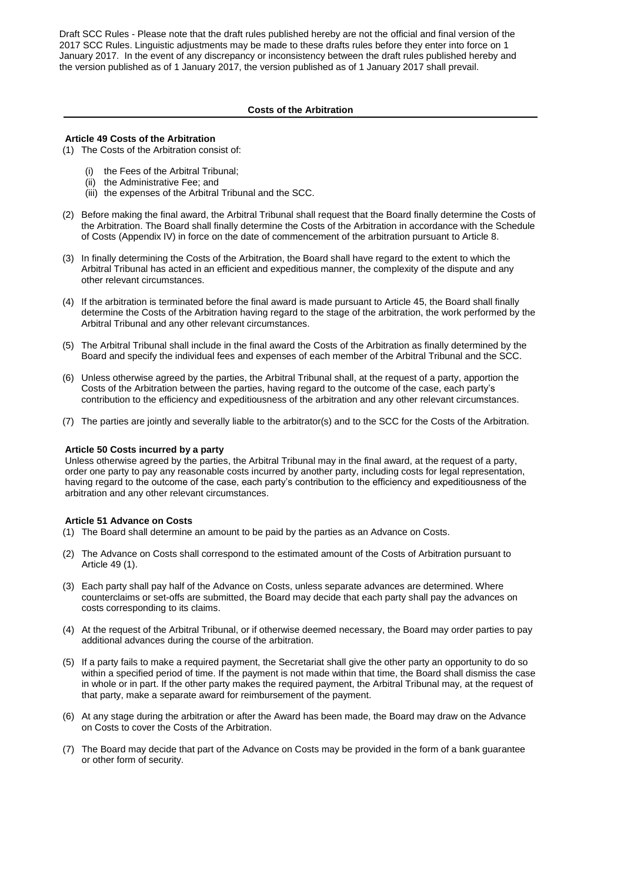#### **Costs of the Arbitration**

#### **Article 49 Costs of the Arbitration**

- (1) The Costs of the Arbitration consist of:
	- (i) the Fees of the Arbitral Tribunal;
	- (ii) the Administrative Fee; and
	- (iii) the expenses of the Arbitral Tribunal and the SCC.
- (2) Before making the final award, the Arbitral Tribunal shall request that the Board finally determine the Costs of the Arbitration. The Board shall finally determine the Costs of the Arbitration in accordance with the Schedule of Costs (Appendix IV) in force on the date of commencement of the arbitration pursuant to Article 8.
- (3) In finally determining the Costs of the Arbitration, the Board shall have regard to the extent to which the Arbitral Tribunal has acted in an efficient and expeditious manner, the complexity of the dispute and any other relevant circumstances.
- (4) If the arbitration is terminated before the final award is made pursuant to Article 45, the Board shall finally determine the Costs of the Arbitration having regard to the stage of the arbitration, the work performed by the Arbitral Tribunal and any other relevant circumstances.
- (5) The Arbitral Tribunal shall include in the final award the Costs of the Arbitration as finally determined by the Board and specify the individual fees and expenses of each member of the Arbitral Tribunal and the SCC.
- (6) Unless otherwise agreed by the parties, the Arbitral Tribunal shall, at the request of a party, apportion the Costs of the Arbitration between the parties, having regard to the outcome of the case, each party's contribution to the efficiency and expeditiousness of the arbitration and any other relevant circumstances.
- (7) The parties are jointly and severally liable to the arbitrator(s) and to the SCC for the Costs of the Arbitration.

#### **Article 50 Costs incurred by a party**

Unless otherwise agreed by the parties, the Arbitral Tribunal may in the final award, at the request of a party, order one party to pay any reasonable costs incurred by another party, including costs for legal representation, having regard to the outcome of the case, each party's contribution to the efficiency and expeditiousness of the arbitration and any other relevant circumstances.

#### **Article 51 Advance on Costs**

- (1) The Board shall determine an amount to be paid by the parties as an Advance on Costs.
- (2) The Advance on Costs shall correspond to the estimated amount of the Costs of Arbitration pursuant to Article 49 (1).
- (3) Each party shall pay half of the Advance on Costs, unless separate advances are determined. Where counterclaims or set-offs are submitted, the Board may decide that each party shall pay the advances on costs corresponding to its claims.
- (4) At the request of the Arbitral Tribunal, or if otherwise deemed necessary, the Board may order parties to pay additional advances during the course of the arbitration.
- (5) If a party fails to make a required payment, the Secretariat shall give the other party an opportunity to do so within a specified period of time. If the payment is not made within that time, the Board shall dismiss the case in whole or in part. If the other party makes the required payment, the Arbitral Tribunal may, at the request of that party, make a separate award for reimbursement of the payment.
- (6) At any stage during the arbitration or after the Award has been made, the Board may draw on the Advance on Costs to cover the Costs of the Arbitration.
- (7) The Board may decide that part of the Advance on Costs may be provided in the form of a bank guarantee or other form of security.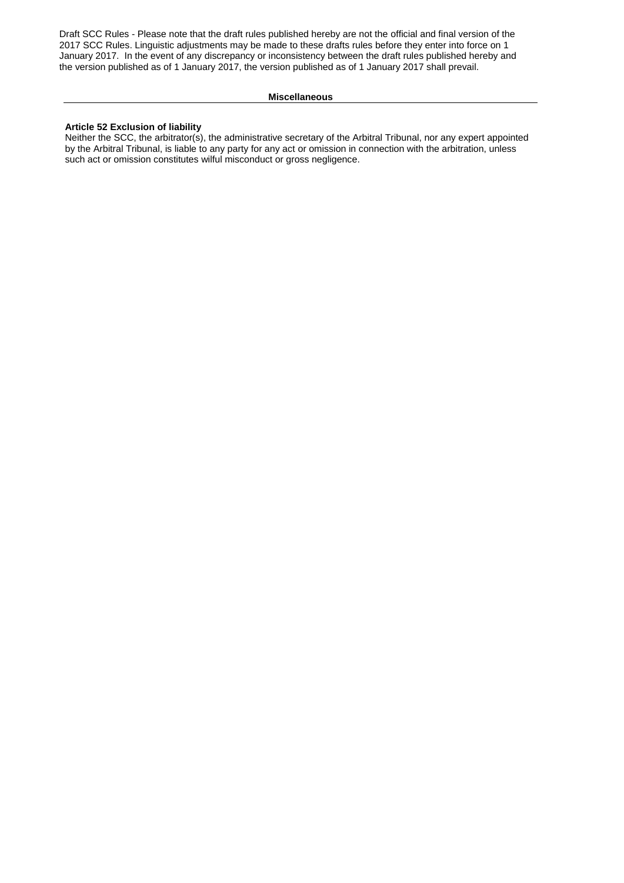#### **Miscellaneous**

# **Article 52 Exclusion of liability**

Neither the SCC, the arbitrator(s), the administrative secretary of the Arbitral Tribunal, nor any expert appointed by the Arbitral Tribunal, is liable to any party for any act or omission in connection with the arbitration, unless such act or omission constitutes wilful misconduct or gross negligence.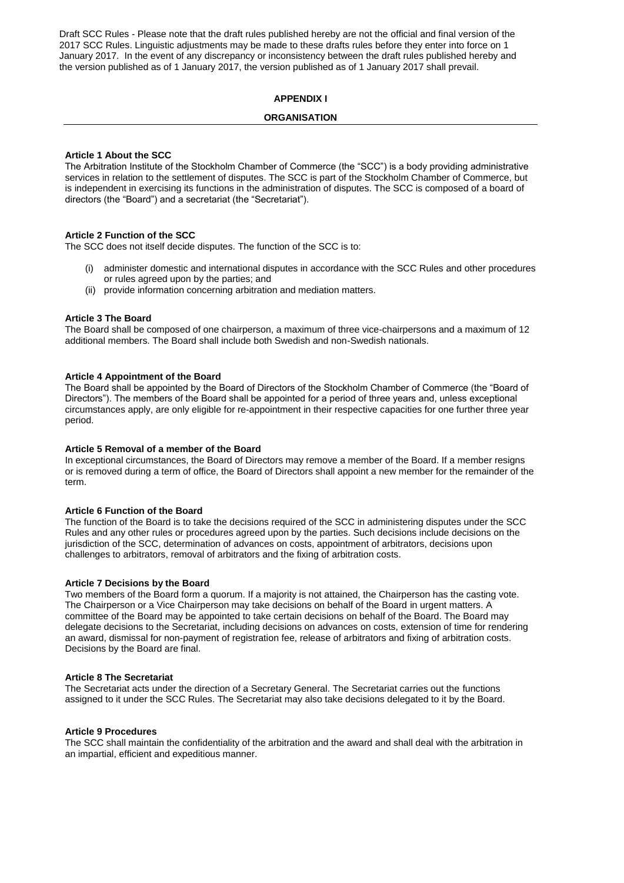# **APPENDIX I**

# **ORGANISATION**

#### **Article 1 About the SCC**

The Arbitration Institute of the Stockholm Chamber of Commerce (the "SCC") is a body providing administrative services in relation to the settlement of disputes. The SCC is part of the Stockholm Chamber of Commerce, but is independent in exercising its functions in the administration of disputes. The SCC is composed of a board of directors (the "Board") and a secretariat (the "Secretariat").

# **Article 2 Function of the SCC**

The SCC does not itself decide disputes. The function of the SCC is to:

- (i) administer domestic and international disputes in accordance with the SCC Rules and other procedures or rules agreed upon by the parties; and
- (ii) provide information concerning arbitration and mediation matters.

#### **Article 3 The Board**

The Board shall be composed of one chairperson, a maximum of three vice-chairpersons and a maximum of 12 additional members. The Board shall include both Swedish and non-Swedish nationals.

#### **Article 4 Appointment of the Board**

The Board shall be appointed by the Board of Directors of the Stockholm Chamber of Commerce (the "Board of Directors"). The members of the Board shall be appointed for a period of three years and, unless exceptional circumstances apply, are only eligible for re-appointment in their respective capacities for one further three year period.

#### **Article 5 Removal of a member of the Board**

In exceptional circumstances, the Board of Directors may remove a member of the Board. If a member resigns or is removed during a term of office, the Board of Directors shall appoint a new member for the remainder of the term.

#### **Article 6 Function of the Board**

The function of the Board is to take the decisions required of the SCC in administering disputes under the SCC Rules and any other rules or procedures agreed upon by the parties. Such decisions include decisions on the jurisdiction of the SCC, determination of advances on costs, appointment of arbitrators, decisions upon challenges to arbitrators, removal of arbitrators and the fixing of arbitration costs.

#### **Article 7 Decisions by the Board**

Two members of the Board form a quorum. If a majority is not attained, the Chairperson has the casting vote. The Chairperson or a Vice Chairperson may take decisions on behalf of the Board in urgent matters. A committee of the Board may be appointed to take certain decisions on behalf of the Board. The Board may delegate decisions to the Secretariat, including decisions on advances on costs, extension of time for rendering an award, dismissal for non-payment of registration fee, release of arbitrators and fixing of arbitration costs. Decisions by the Board are final.

#### **Article 8 The Secretariat**

The Secretariat acts under the direction of a Secretary General. The Secretariat carries out the functions assigned to it under the SCC Rules. The Secretariat may also take decisions delegated to it by the Board.

#### **Article 9 Procedures**

The SCC shall maintain the confidentiality of the arbitration and the award and shall deal with the arbitration in an impartial, efficient and expeditious manner.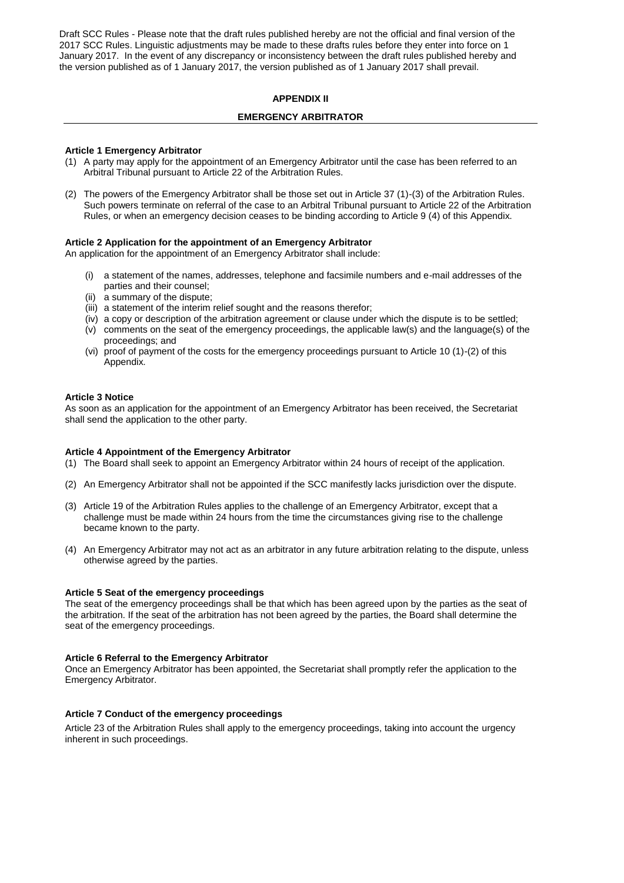### **APPENDIX II**

#### **EMERGENCY ARBITRATOR**

#### **Article 1 Emergency Arbitrator**

- (1) A party may apply for the appointment of an Emergency Arbitrator until the case has been referred to an Arbitral Tribunal pursuant to Article 22 of the Arbitration Rules.
- (2) The powers of the Emergency Arbitrator shall be those set out in Article 37 (1)-(3) of the Arbitration Rules. Such powers terminate on referral of the case to an Arbitral Tribunal pursuant to Article 22 of the Arbitration Rules, or when an emergency decision ceases to be binding according to Article 9 (4) of this Appendix.

#### **Article 2 Application for the appointment of an Emergency Arbitrator**

An application for the appointment of an Emergency Arbitrator shall include:

- (i) a statement of the names, addresses, telephone and facsimile numbers and e-mail addresses of the parties and their counsel;
- (ii) a summary of the dispute;
- (iii) a statement of the interim relief sought and the reasons therefor;
- (iv) a copy or description of the arbitration agreement or clause under which the dispute is to be settled;
- (v) comments on the seat of the emergency proceedings, the applicable law(s) and the language(s) of the proceedings; and
- (vi) proof of payment of the costs for the emergency proceedings pursuant to Article 10 (1)-(2) of this Appendix.

#### **Article 3 Notice**

As soon as an application for the appointment of an Emergency Arbitrator has been received, the Secretariat shall send the application to the other party.

#### **Article 4 Appointment of the Emergency Arbitrator**

- (1) The Board shall seek to appoint an Emergency Arbitrator within 24 hours of receipt of the application.
- (2) An Emergency Arbitrator shall not be appointed if the SCC manifestly lacks jurisdiction over the dispute.
- (3) Article 19 of the Arbitration Rules applies to the challenge of an Emergency Arbitrator, except that a challenge must be made within 24 hours from the time the circumstances giving rise to the challenge became known to the party.
- (4) An Emergency Arbitrator may not act as an arbitrator in any future arbitration relating to the dispute, unless otherwise agreed by the parties.

#### **Article 5 Seat of the emergency proceedings**

The seat of the emergency proceedings shall be that which has been agreed upon by the parties as the seat of the arbitration. If the seat of the arbitration has not been agreed by the parties, the Board shall determine the seat of the emergency proceedings.

#### **Article 6 Referral to the Emergency Arbitrator**

Once an Emergency Arbitrator has been appointed, the Secretariat shall promptly refer the application to the Emergency Arbitrator.

#### **Article 7 Conduct of the emergency proceedings**

Article 23 of the Arbitration Rules shall apply to the emergency proceedings, taking into account the urgency inherent in such proceedings.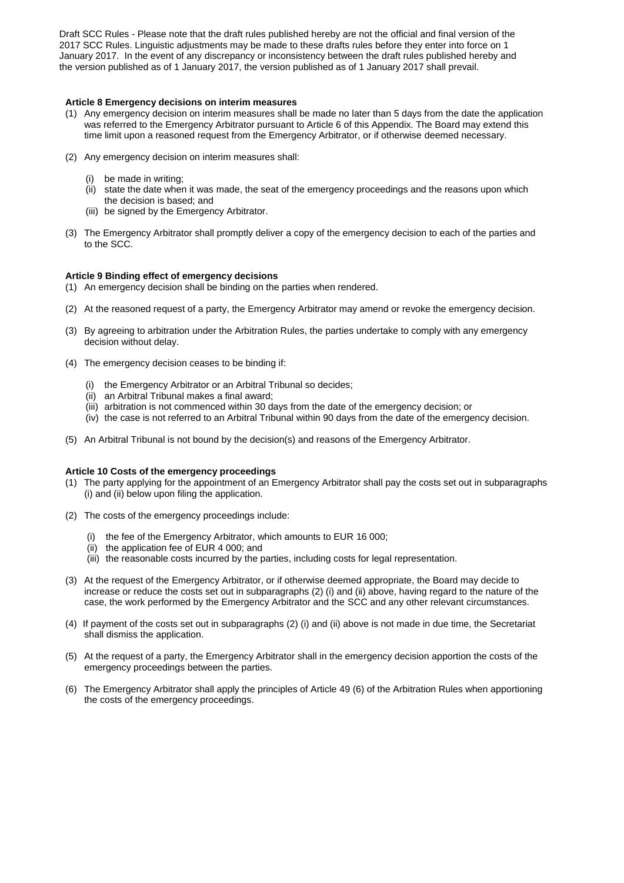#### **Article 8 Emergency decisions on interim measures**

- (1) Any emergency decision on interim measures shall be made no later than 5 days from the date the application was referred to the Emergency Arbitrator pursuant to Article 6 of this Appendix. The Board may extend this time limit upon a reasoned request from the Emergency Arbitrator, or if otherwise deemed necessary.
- (2) Any emergency decision on interim measures shall:
	- (i) be made in writing;
	- $(iii)$  state the date when it was made, the seat of the emergency proceedings and the reasons upon which the decision is based; and
	- (iii) be signed by the Emergency Arbitrator.
- (3) The Emergency Arbitrator shall promptly deliver a copy of the emergency decision to each of the parties and to the SCC.

### **Article 9 Binding effect of emergency decisions**

- (1) An emergency decision shall be binding on the parties when rendered.
- (2) At the reasoned request of a party, the Emergency Arbitrator may amend or revoke the emergency decision.
- (3) By agreeing to arbitration under the Arbitration Rules, the parties undertake to comply with any emergency decision without delay.
- (4) The emergency decision ceases to be binding if:
	- (i) the Emergency Arbitrator or an Arbitral Tribunal so decides;
	- (ii) an Arbitral Tribunal makes a final award;
	- (iii) arbitration is not commenced within 30 days from the date of the emergency decision; or
	- (iv) the case is not referred to an Arbitral Tribunal within 90 days from the date of the emergency decision.
- (5) An Arbitral Tribunal is not bound by the decision(s) and reasons of the Emergency Arbitrator.

# **Article 10 Costs of the emergency proceedings**

- (1) The party applying for the appointment of an Emergency Arbitrator shall pay the costs set out in subparagraphs (2) (i) and (ii) below upon filing the application.
- (2) The costs of the emergency proceedings include:
	- (i) the fee of the Emergency Arbitrator, which amounts to EUR 16 000;
	- (ii) the application fee of EUR 4 000; and
	- (iii) the reasonable costs incurred by the parties, including costs for legal representation.
- (3) At the request of the Emergency Arbitrator, or if otherwise deemed appropriate, the Board may decide to increase or reduce the costs set out in subparagraphs (2) (i) and (ii) above, having regard to the nature of the case, the work performed by the Emergency Arbitrator and the SCC and any other relevant circumstances.
- (4) If payment of the costs set out in subparagraphs (2) (i) and (ii) above is not made in due time, the Secretariat shall dismiss the application.
- (5) At the request of a party, the Emergency Arbitrator shall in the emergency decision apportion the costs of the emergency proceedings between the parties.
- (6) The Emergency Arbitrator shall apply the principles of Article 49 (6) of the Arbitration Rules when apportioning the costs of the emergency proceedings.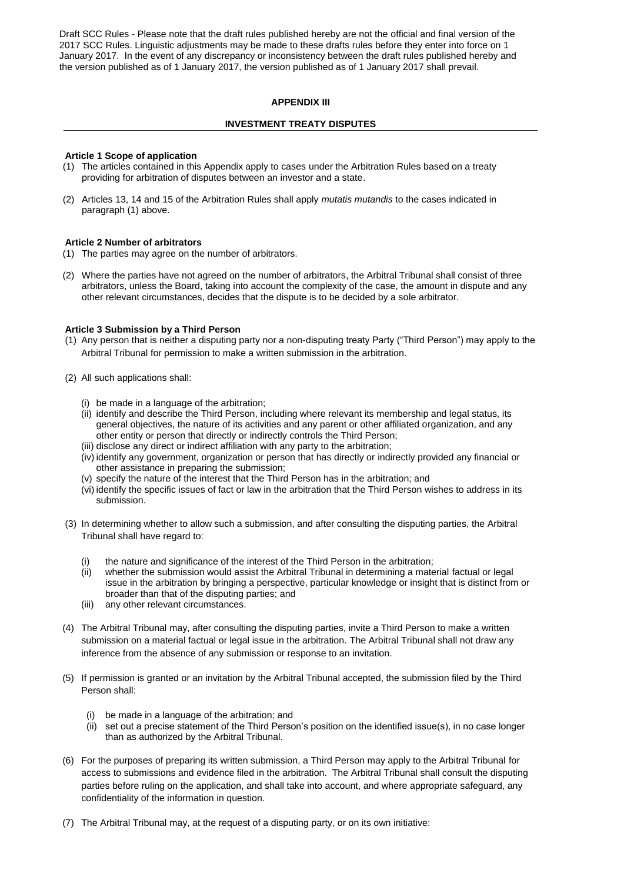# **APPENDIX III**

### **INVESTMENT TREATY DISPUTES**

#### **Article 1 Scope of application**

- (1) The articles contained in this Appendix apply to cases under the Arbitration Rules based on a treaty providing for arbitration of disputes between an investor and a state.
- (2) Articles 13, 14 and 15 of the Arbitration Rules shall apply *mutatis mutandis* to the cases indicated in paragraph (1) above.

#### **Article 2 Number of arbitrators**

- (1) The parties may agree on the number of arbitrators.
- (2) Where the parties have not agreed on the number of arbitrators, the Arbitral Tribunal shall consist of three arbitrators, unless the Board, taking into account the complexity of the case, the amount in dispute and any other relevant circumstances, decides that the dispute is to be decided by a sole arbitrator.

#### **Article 3 Submission by a Third Person**

- (1) Any person that is neither a disputing party nor a non-disputing treaty Party ("Third Person") may apply to the Arbitral Tribunal for permission to make a written submission in the arbitration.
- (2) All such applications shall:
	- (i) be made in a language of the arbitration;
	- (ii) identify and describe the Third Person, including where relevant its membership and legal status, its general objectives, the nature of its activities and any parent or other affiliated organization, and any other entity or person that directly or indirectly controls the Third Person;
	- (iii) disclose any direct or indirect affiliation with any party to the arbitration;
	- (iv) identify any government, organization or person that has directly or indirectly provided any financial or other assistance in preparing the submission;
	- (v) specify the nature of the interest that the Third Person has in the arbitration; and
	- (vi) identify the specific issues of fact or law in the arbitration that the Third Person wishes to address in its submission.
- (3) In determining whether to allow such a submission, and after consulting the disputing parties, the Arbitral Tribunal shall have regard to:
	- the nature and significance of the interest of the Third Person in the arbitration;
	- (ii) whether the submission would assist the Arbitral Tribunal in determining a material factual or legal issue in the arbitration by bringing a perspective, particular knowledge or insight that is distinct from or broader than that of the disputing parties; and
	- (iii) any other relevant circumstances.
- (4) The Arbitral Tribunal may, after consulting the disputing parties, invite a Third Person to make a written submission on a material factual or legal issue in the arbitration. The Arbitral Tribunal shall not draw any inference from the absence of any submission or response to an invitation.
- (5) If permission is granted or an invitation by the Arbitral Tribunal accepted, the submission filed by the Third Person shall:
	- (i) be made in a language of the arbitration; and
	- (ii) set out a precise statement of the Third Person's position on the identified issue(s), in no case longer than as authorized by the Arbitral Tribunal.
- (6) For the purposes of preparing its written submission, a Third Person may apply to the Arbitral Tribunal for access to submissions and evidence filed in the arbitration. The Arbitral Tribunal shall consult the disputing parties before ruling on the application, and shall take into account, and where appropriate safeguard, any confidentiality of the information in question.
- (7) The Arbitral Tribunal may, at the request of a disputing party, or on its own initiative: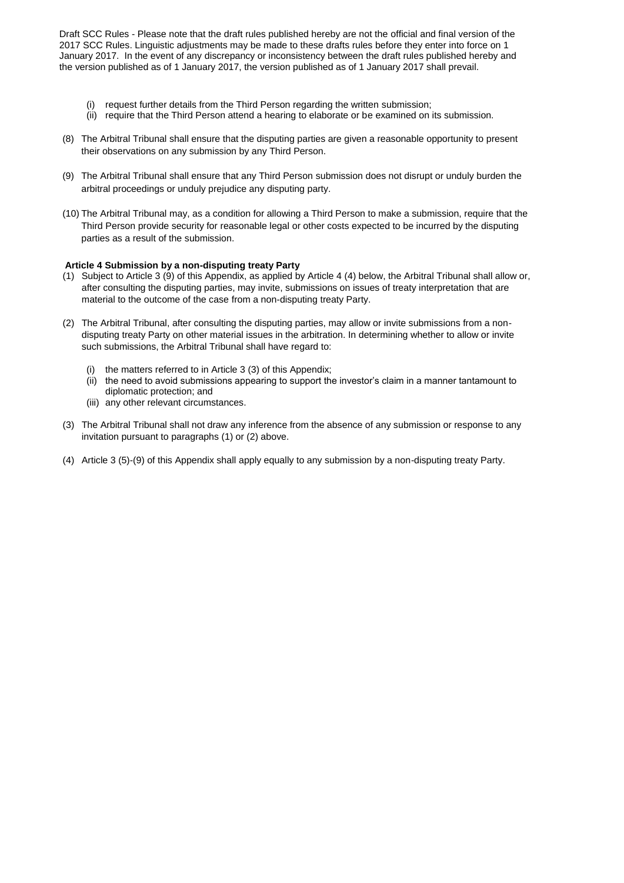- (i) request further details from the Third Person regarding the written submission;
- (ii) require that the Third Person attend a hearing to elaborate or be examined on its submission.
- (8) The Arbitral Tribunal shall ensure that the disputing parties are given a reasonable opportunity to present their observations on any submission by any Third Person.
- (9) The Arbitral Tribunal shall ensure that any Third Person submission does not disrupt or unduly burden the arbitral proceedings or unduly prejudice any disputing party.
- (10) The Arbitral Tribunal may, as a condition for allowing a Third Person to make a submission, require that the Third Person provide security for reasonable legal or other costs expected to be incurred by the disputing parties as a result of the submission.

### **Article 4 Submission by a non-disputing treaty Party**

- (1) Subject to Article 3 (9) of this Appendix, as applied by Article 4 (4) below, the Arbitral Tribunal shall allow or, after consulting the disputing parties, may invite, submissions on issues of treaty interpretation that are material to the outcome of the case from a non-disputing treaty Party.
- (2) The Arbitral Tribunal, after consulting the disputing parties, may allow or invite submissions from a nondisputing treaty Party on other material issues in the arbitration. In determining whether to allow or invite such submissions, the Arbitral Tribunal shall have regard to:
	- (i) the matters referred to in Article 3 (3) of this Appendix;
	- (ii) the need to avoid submissions appearing to support the investor's claim in a manner tantamount to diplomatic protection; and
	- (iii) any other relevant circumstances.
- (3) The Arbitral Tribunal shall not draw any inference from the absence of any submission or response to any invitation pursuant to paragraphs (1) or (2) above.
- (4) Article 3 (5)-(9) of this Appendix shall apply equally to any submission by a non-disputing treaty Party.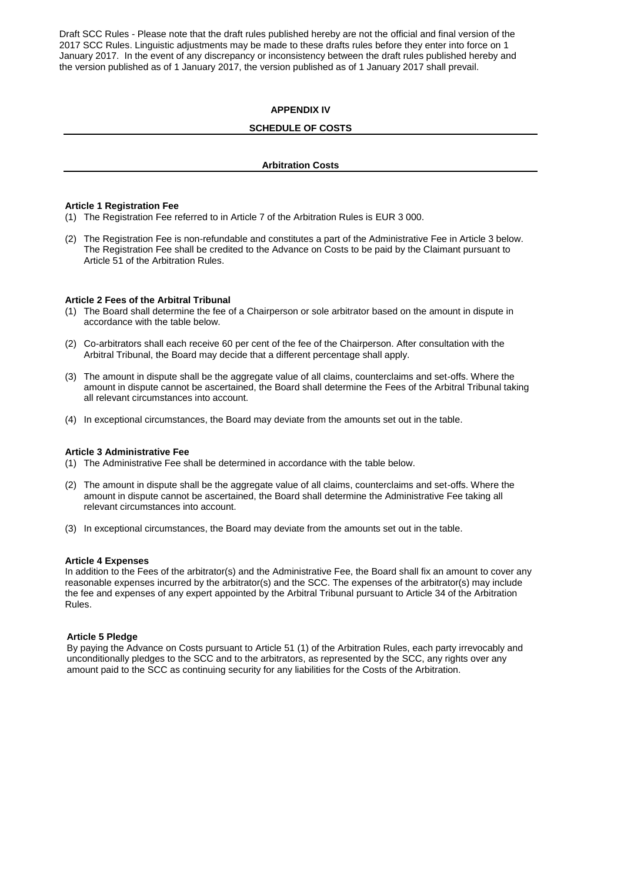### **APPENDIX IV**

### **SCHEDULE OF COSTS**

#### **Arbitration Costs**

#### **Article 1 Registration Fee**

(1) The Registration Fee referred to in Article 7 of the Arbitration Rules is EUR 3 000.

(2) The Registration Fee is non-refundable and constitutes a part of the Administrative Fee in Article 3 below. The Registration Fee shall be credited to the Advance on Costs to be paid by the Claimant pursuant to Article 51 of the Arbitration Rules.

#### **Article 2 Fees of the Arbitral Tribunal**

- (1) The Board shall determine the fee of a Chairperson or sole arbitrator based on the amount in dispute in accordance with the table below.
- (2) Co-arbitrators shall each receive 60 per cent of the fee of the Chairperson. After consultation with the Arbitral Tribunal, the Board may decide that a different percentage shall apply.
- (3) The amount in dispute shall be the aggregate value of all claims, counterclaims and set-offs. Where the amount in dispute cannot be ascertained, the Board shall determine the Fees of the Arbitral Tribunal taking all relevant circumstances into account.
- (4) In exceptional circumstances, the Board may deviate from the amounts set out in the table.

#### **Article 3 Administrative Fee**

- (1) The Administrative Fee shall be determined in accordance with the table below.
- (2) The amount in dispute shall be the aggregate value of all claims, counterclaims and set-offs. Where the amount in dispute cannot be ascertained, the Board shall determine the Administrative Fee taking all relevant circumstances into account.
- (3) In exceptional circumstances, the Board may deviate from the amounts set out in the table.

#### **Article 4 Expenses**

In addition to the Fees of the arbitrator(s) and the Administrative Fee, the Board shall fix an amount to cover any reasonable expenses incurred by the arbitrator(s) and the SCC. The expenses of the arbitrator(s) may include the fee and expenses of any expert appointed by the Arbitral Tribunal pursuant to Article 34 of the Arbitration Rules.

#### **Article 5 Pledge**

By paying the Advance on Costs pursuant to Article 51 (1) of the Arbitration Rules, each party irrevocably and unconditionally pledges to the SCC and to the arbitrators, as represented by the SCC, any rights over any amount paid to the SCC as continuing security for any liabilities for the Costs of the Arbitration.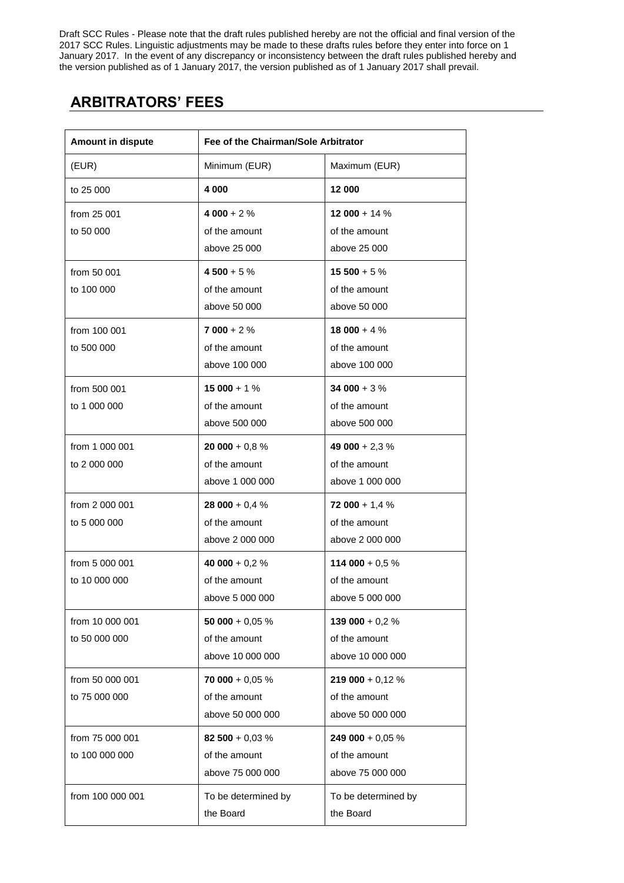# **ARBITRATORS' FEES**

| Amount in dispute | Fee of the Chairman/Sole Arbitrator |                     |
|-------------------|-------------------------------------|---------------------|
| (EUR)             | Minimum (EUR)                       | Maximum (EUR)       |
| to 25 000         | 4 000                               | 12 000              |
| from 25 001       | $4000 + 2%$                         | 12 000 + 14 $%$     |
| to 50 000         | of the amount                       | of the amount       |
|                   | above 25 000                        | above 25 000        |
| from 50 001       | $4500 + 5%$                         | $15500 + 5%$        |
| to 100 000        | of the amount                       | of the amount       |
|                   | above 50 000                        | above 50 000        |
| from 100 001      | $7000 + 2%$                         | $18000 + 4%$        |
| to 500 000        | of the amount                       | of the amount       |
|                   | above 100 000                       | above 100 000       |
| from 500 001      | $15000 + 1%$                        | 34 000 + $3%$       |
| to 1 000 000      | of the amount                       | of the amount       |
|                   | above 500 000                       | above 500 000       |
| from 1 000 001    | $20000 + 0.8%$                      | 49 000 + 2,3 $%$    |
| to 2 000 000      | of the amount                       | of the amount       |
|                   | above 1 000 000                     | above 1 000 000     |
| from 2 000 001    | 28 000 + 0,4 $%$                    | 72 000 + 1,4 $%$    |
| to 5 000 000      | of the amount                       | of the amount       |
|                   | above 2 000 000                     | above 2 000 000     |
| from 5 000 001    | 40 000 + 0,2 $%$                    | 114 000 + $0.5\%$   |
| to 10 000 000     | of the amount                       | of the amount       |
|                   | above 5 000 000                     | above 5 000 000     |
| from 10 000 001   | 50 000 + $0,05\%$                   | 139 000 + $0,2%$    |
| to 50 000 000     | of the amount                       | of the amount       |
|                   | above 10 000 000                    | above 10 000 000    |
| from 50 000 001   | 70 000 + 0,05 $%$                   | 219 000 + 0,12 $%$  |
| to 75 000 000     | of the amount                       | of the amount       |
|                   | above 50 000 000                    | above 50 000 000    |
| from 75 000 001   | 82 500 + 0,03 $%$                   | 249 000 + 0,05 $%$  |
| to 100 000 000    | of the amount                       | of the amount       |
|                   | above 75 000 000                    | above 75 000 000    |
| from 100 000 001  | To be determined by                 | To be determined by |
|                   | the Board                           | the Board           |